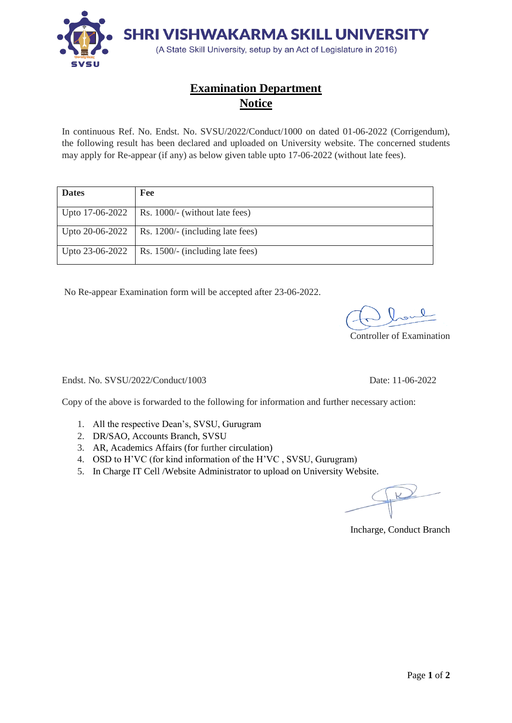

## **Examination Department Notice**

In continuous Ref. No. Endst. No. SVSU/2022/Conduct/1000 on dated 01-06-2022 (Corrigendum), the following result has been declared and uploaded on University website. The concerned students may apply for Re-appear (if any) as below given table upto 17-06-2022 (without late fees).

| <b>Dates</b>      | Fee                                                |
|-------------------|----------------------------------------------------|
|                   | Upto $17-06-2022$   Rs. 1000/- (without late fees) |
|                   | Upto 20-06-2022   Rs. 1200/- (including late fees) |
| Upto $23-06-2022$ | Rs. 1500/- (including late fees)                   |

No Re-appear Examination form will be accepted after 23-06-2022.

Controller of Examination

Endst. No. SVSU/2022/Conduct/1003 Date: 11-06-2022

Copy of the above is forwarded to the following for information and further necessary action:

- 1. All the respective Dean's, SVSU, Gurugram
- 2. DR/SAO, Accounts Branch, SVSU
- 3. AR, Academics Affairs (for further circulation)
- 4. OSD to H'VC (for kind information of the H'VC , SVSU, Gurugram)
- 5. In Charge IT Cell /Website Administrator to upload on University Website.

Incharge, Conduct Branch